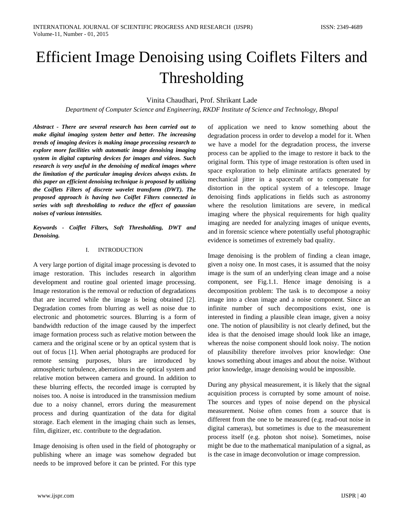# Efficient Image Denoising using Coiflets Filters and Thresholding

# Vinita Chaudhari, Prof. Shrikant Lade

*Department of Computer Science and Engineering, RKDF Institute of Science and Technology, Bhopal*

*Abstract - There are several research has been carried out to make digital imaging system better and better. The increasing trends of imaging devices is making image processing research to explore more facilities with automatic image denoising imaging system in digital capturing devices for images and videos. Such research is very useful in the denoising of medical images where the limitation of the particular imaging devices always exists. In this paper an efficient denoising technique is proposed by utilizing the Coiflets Filters of discrete wavelet transform (DWT). The proposed approach is having two Coiflet Filters connected in series with soft thresholding to reduce the effect of gaussian noises of various intensities.*

*Keywords - Coiflet Filters, Soft Thresholding, DWT and Denoising.*

#### I. INTRODUCTION

A very large portion of digital image processing is devoted to image restoration. This includes research in algorithm development and routine goal oriented image processing. Image restoration is the removal or reduction of degradations that are incurred while the image is being obtained [2]. Degradation comes from blurring as well as noise due to electronic and photometric sources. Blurring is a form of bandwidth reduction of the image caused by the imperfect image formation process such as relative motion between the camera and the original scene or by an optical system that is out of focus [1]. When aerial photographs are produced for remote sensing purposes, blurs are introduced by atmospheric turbulence, aberrations in the optical system and relative motion between camera and ground. In addition to these blurring effects, the recorded image is corrupted by noises too. A noise is introduced in the transmission medium due to a noisy channel, errors during the measurement process and during quantization of the data for digital storage. Each element in the imaging chain such as lenses, film, digitizer, etc. contribute to the degradation.

Image denoising is often used in the field of photography or publishing where an image was somehow degraded but needs to be improved before it can be printed. For this type

of application we need to know something about the degradation process in order to develop a model for it. When we have a model for the degradation process, the inverse process can be applied to the image to restore it back to the original form. This type of image restoration is often used in space exploration to help eliminate artifacts generated by mechanical jitter in a spacecraft or to compensate for distortion in the optical system of a telescope. Image denoising finds applications in fields such as astronomy where the resolution limitations are severe, in medical imaging where the physical requirements for high quality imaging are needed for analyzing images of unique events, and in forensic science where potentially useful photographic evidence is sometimes of extremely bad quality.

Image denoising is the problem of finding a clean image, given a noisy one. In most cases, it is assumed that the noisy image is the sum of an underlying clean image and a noise component, see Fig.1.1. Hence image denoising is a decomposition problem: The task is to decompose a noisy image into a clean image and a noise component. Since an infinite number of such decompositions exist, one is interested in finding a plausible clean image, given a noisy one. The notion of plausibility is not clearly defined, but the idea is that the denoised image should look like an image, whereas the noise component should look noisy. The notion of plausibility therefore involves prior knowledge: One knows something about images and about the noise. Without prior knowledge, image denoising would be impossible.

During any physical measurement, it is likely that the signal acquisition process is corrupted by some amount of noise. The sources and types of noise depend on the physical measurement. Noise often comes from a source that is different from the one to be measured (e.g. read-out noise in digital cameras), but sometimes is due to the measurement process itself (e.g. photon shot noise). Sometimes, noise might be due to the mathematical manipulation of a signal, as is the case in image deconvolution or image compression.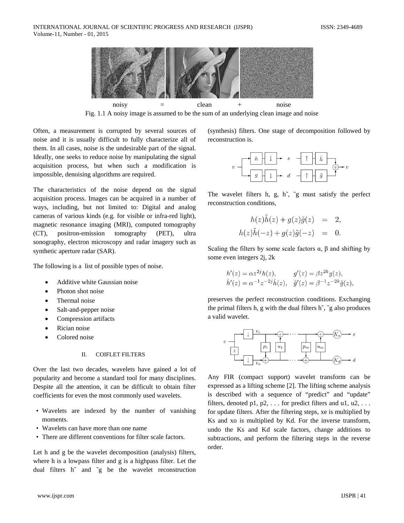

Fig. 1.1 A noisy image is assumed to be the sum of an underlying clean image and noise

Often, a measurement is corrupted by several sources of noise and it is usually difficult to fully characterize all of them. In all cases, noise is the undesirable part of the signal. Ideally, one seeks to reduce noise by manipulating the signal acquisition process, but when such a modification is impossible, denoising algorithms are required.

The characteristics of the noise depend on the signal acquisition process. Images can be acquired in a number of ways, including, but not limited to: Digital and analog cameras of various kinds (e.g. for visible or infra-red light), magnetic resonance imaging (MRI), computed tomography (CT), positron-emission tomography (PET), ultra sonography, electron microscopy and radar imagery such as synthetic aperture radar (SAR).

The following is a list of possible types of noise.

- Additive white Gaussian noise
- Photon shot noise
- Thermal noise
- Salt-and-pepper noise
- Compression artifacts
- Rician noise
- Colored noise

## II. COIFLET FILTERS

Over the last two decades, wavelets have gained a lot of popularity and become a standard tool for many disciplines. Despite all the attention, it can be difficult to obtain filter coefficients for even the most commonly used wavelets.

- Wavelets are indexed by the number of vanishing moments.
- Wavelets can have more than one name
- There are different conventions for filter scale factors.

Let h and g be the wavelet decomposition (analysis) filters, where h is a lowpass filter and g is a highpass filter. Let the dual filters h˜ and ˜g be the wavelet reconstruction (synthesis) filters. One stage of decomposition followed by reconstruction is.



The wavelet filters h, g, h $\tilde{g}$ ,  $\tilde{g}$  must satisfy the perfect reconstruction conditions,

$$
h(z)\tilde{h}(z) + g(z)\tilde{g}(z) = 2,
$$
  

$$
h(z)\tilde{h}(-z) + g(z)\tilde{g}(-z) = 0.
$$

Scaling the filters by some scale factors  $\alpha$ ,  $\beta$  and shifting by some even integers 2j, 2k

$$
h'(z) = \alpha z^{2j} h(z), \qquad g'(z) = \beta z^{2k} g(z), \n\tilde{h}'(z) = \alpha^{-1} z^{-2j} \tilde{h}(z), \quad \tilde{g}'(z) = \beta^{-1} z^{-2k} \tilde{g}(z),
$$

preserves the perfect reconstruction conditions. Exchanging the primal filters h, g with the dual filters h˜, ˜g also produces a valid wavelet.



Any FIR (compact support) wavelet transform can be expressed as a lifting scheme [2]. The lifting scheme analysis is described with a sequence of "predict" and "update" filters, denoted p1, p2,  $\dots$  for predict filters and u1, u2,  $\dots$ for update filters. After the filtering steps, xe is multiplied by Ks and xo is multiplied by Kd. For the inverse transform, undo the Ks and Kd scale factors, change additions to subtractions, and perform the filtering steps in the reverse order.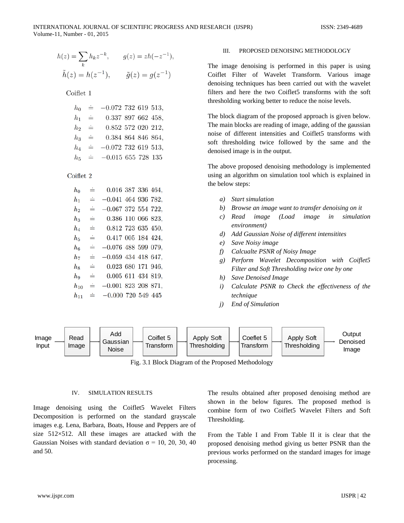$$
h(z) = \sum_{k} h_k z^{-k}, \qquad g(z) = zh(-z^{-1}),
$$
  

$$
\tilde{h}(z) = h(z^{-1}), \qquad \tilde{g}(z) = g(z^{-1})
$$

Coiflet 1

| $h_{0}$ | $\stackrel{.}{=}$ | $-0.072$ 732 619 513, |  |  |
|---------|-------------------|-----------------------|--|--|
| $h_1$   | $\dot{=}$         | 0.337 897 662 458,    |  |  |
| $h_2$   | $\dot{=}$         | 0.852 572 020 212,    |  |  |
| $h_3$   | $\dot{=}$         | 0.384 864 846 864,    |  |  |
| $h_{4}$ | $\div$            | $-0.072$ 732 619 513, |  |  |
| $h_{5}$ | $\div$            | $-0.015$ 655 728 135  |  |  |

Coiflet 2

| $h_{\rm 0}$      | ≐ | 0.016 387 336 464,    |  |  |
|------------------|---|-----------------------|--|--|
| $h_{1}$          | ≐ | $-0.041$ 464 936 782, |  |  |
| h2               | ≐ | $-0.067$ 372 554 722, |  |  |
| $h_3$            | ≐ | 0.386 110 066 823,    |  |  |
| $h_4$            | ≐ | 0.812 723 635 450,    |  |  |
| $h_{5}$          | ≐ | 0.417 005 184 424,    |  |  |
| $h_{\mathbf{6}}$ | ≐ | $-0.076$ 488 599 079, |  |  |
| $_{h_7}$         | ≐ | $-0.059$ 434 418 647, |  |  |
| $h_{8}$          | ≐ | 0.023 680 171 946,    |  |  |
| hq               | ≐ | 0.005 611 434 819,    |  |  |
| $h_{10}$         | ≐ | $-0.001$ 823 208 871, |  |  |
| $h_{11}$         | ≐ | $-0.000$ 720 549 445  |  |  |
|                  |   |                       |  |  |

## III. PROPOSED DENOISING METHODOLOGY

The image denoising is performed in this paper is using Coiflet Filter of Wavelet Transform. Various image denoising techniques has been carried out with the wavelet filters and here the two Coiflet5 transforms with the soft thresholding working better to reduce the noise levels.

The block diagram of the proposed approach is given below. The main blocks are reading of image, adding of the gaussian noise of different intensities and Coiflet5 transforms with soft thresholding twice followed by the same and the denoised image is in the output.

The above proposed denoising methodology is implemented using an algorithm on simulation tool which is explained in the below steps:

- *a) Start simulation*
- *b) Browse an image want to transfer denoising on it*
- *c) Read image (Load image in simulation environment)*
- *d) Add Gaussian Noise of different intensitites*
- *e) Save Noisy image*
- *f) Calcualte PSNR of Noisy Image*
- *g) Perform Wavelet Decomposition with Coiflet5 Filter and Soft Thresholding twice one by one*
- *h) Save Denoised Image*
- *i) Calculate PSNR to Check the effectiveness of the technique*
- *j) End of Simulation*



Fig. 3.1 Block Diagram of the Proposed Methodology

# IV. SIMULATION RESULTS

Image denoising using the Coiflet5 Wavelet Filters Decomposition is performed on the standard grayscale images e.g. Lena, Barbara, Boats, House and Peppers are of size 512×512. All these images are attacked with the Gaussian Noises with standard deviation  $\sigma = 10, 20, 30, 40$ and 50.

The results obtained after proposed denoising method are shown in the below figures. The proposed method is combine form of two Coiflet5 Wavelet Filters and Soft Thresholding.

From the Table I and From Table II it is clear that the proposed denoising method giving us better PSNR than the previous works performed on the standard images for image processing.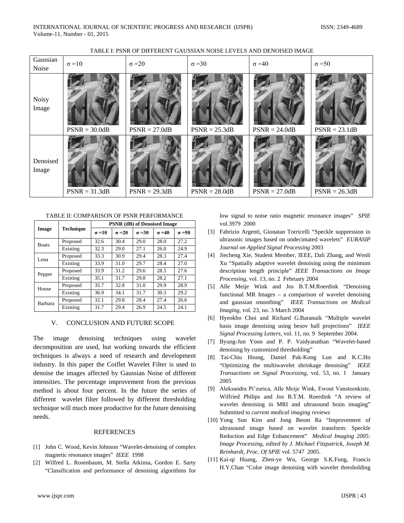| Gaussian<br>Noise | $\sigma = 10$   | $\sigma = 20$   | $\sigma = 30$   | $\sigma = 40$   | $\sigma = 50$   |
|-------------------|-----------------|-----------------|-----------------|-----------------|-----------------|
| Noisy<br>Image    | $PSNR = 30.0dB$ | $PSNR = 27.0dB$ | $PSNR = 25.3dB$ | $PSNR = 24.0dB$ | $PSNR = 23.1dB$ |
| Denoised<br>Image | $PSNR = 31.3dB$ | $PSNR = 29.3dB$ | $PSNR = 28.0dB$ | $PSNR = 27.0dB$ | $PSNR = 26.3dB$ |

# TABLE I: PSNR OF DIFFERENT GAUSSIAN NOISE LEVELS AND DENOISED IMAGE

TABLE II: COMPARISON OF PSNR PERFORMANCE

|                |                  | <b>PSNR (dB) of Denoised Image</b> |               |               |               |               |  |
|----------------|------------------|------------------------------------|---------------|---------------|---------------|---------------|--|
| Image          | <b>Technique</b> | $\sigma = 10$                      | $\sigma = 20$ | $\sigma = 30$ | $\sigma = 40$ | $\sigma = 50$ |  |
| <b>Boats</b>   | Proposed         | 32.6                               | 30.4          | 29.0          | 28.0          | 27.2          |  |
|                | Existing         | 32.3                               | 29.0          | 27.1          | 26.0          | 24.9          |  |
| Lena           | Proposed         | 33.3                               | 30.9          | 29.4          | 28.3          | 27.4          |  |
|                | Existing         | 33.9                               | 31.0          | 29.7          | 28.4          | 27.0          |  |
| Pepper         | Proposed         | 33.9                               | 31.2          | 29.6          | 28.5          | 27.6          |  |
|                | Existing         | 35.1                               | 31.7          | 29.8          | 28.2          | 27.1          |  |
| House          | Proposed         | 35.7                               | 32.8          | 31.0          | 29.9          | 28.9          |  |
|                | Existing         | 36.9                               | 34.1          | 31.7          | 30.3          | 29.2          |  |
| <b>Barbara</b> | Proposed         | 32.1                               | 29.8          | 28.4          | 27.4          | 26.6          |  |
|                | Existing         | 31.7                               | 29.4          | 26.9          | 24.5          | 24.1          |  |

### V. CONCLUSION AND FUTURE SCOPE

The image denoising techniques using wavelet decomposition are used, but working towards the efficient techniques is always a need of research and development industry. In this paper the Coiflet Wavelet Filter is used to denoise the images affected by Gaussian Noise of different intensities. The percentage improvement from the previous method is about four percent. In the future the series of different wavelet filter followed by different thresholding technique will much more productive for the future denoising needs.

#### REFERENCES

- [1] John C. Wood, Kevin Johnson "Wavelet-denoising of complex magnetic resonance images" *IEEE* 1998
- [2] Wilfred L. Rosenbaum, M. Stella Atkinsa, Gordon E. Sarty "Classification and performance of denoising algorithms for

low signal to noise ratio magnetic resonance images" *SPIE*  vol.3979 2000

- [3] Fabrizio Argenti, Gionatan Torricelli "Speckle suppression in ultrasonic images based on undecimated wavelets" *EURASIP Journal on Applied Signal Processing* 2003
- [4] Jiecheng Xie, Student Member, IEEE, Dali Zhang, and Wenli Xu "Spatially adaptive wavelet denoising using the minimum description length principle" *IEEE Transactions on Image Processing,* vol. 13, no. 2 February 2004
- [5] Alle Meije Wink and Jos B.T.M.Roerdink "Denoising functional MR Images – a comparison of wavelet denoising and gaussian smoothing" *IEEE Transactions on Medical Imaging,* vol. 23, no. 3 March 2004
- [6] Hyeokho Choi and Richard G.Baranuik "Multiple wavelet basis image denoising using besov ball projections" *IEEE Signal Processing Letters,* vol. 11, no. 9 September 2004.
- [7] Byung-Jun Yoon and P. P. Vaidyanathan "Wavelet-based denoising by customized thresholding"
- [8] Tai-Chiu Hsung, Daniel Pak-Kong Lun and K.C.Ho "Optimizing the multiwavelet shrinkage denoising" *IEEE Transactions on Signal Processing,* vol. 53, no. 1 January 2005
- [9] Aleksandra Piˇzurica, Alle Meije Wink, Ewout Vansteenkiste, Wilfried Philips and Jos B.T.M. Roerdink "A review of wavelet denoising in MRI and ultrasound brain imaging" Submitted to *current medical imaging reviews*
- [10] Yong Sun Kim and Jong Beom Ra "Improvement of ultrasound image based on wavelet transform: Speckle Reduction and Edge Enhancement" *Medical Imaging 2005: Image Processing, edited by J. Michael Fitzpatrick, Joseph M. Reinhardt, Proc. Of SPIE* vol. 5747 2005.
- [11] Kai-qi Huang, Zhen-ye Wu, George S.K.Fung, Francis H.Y.Chan "Color image denoising with wavelet thresholding